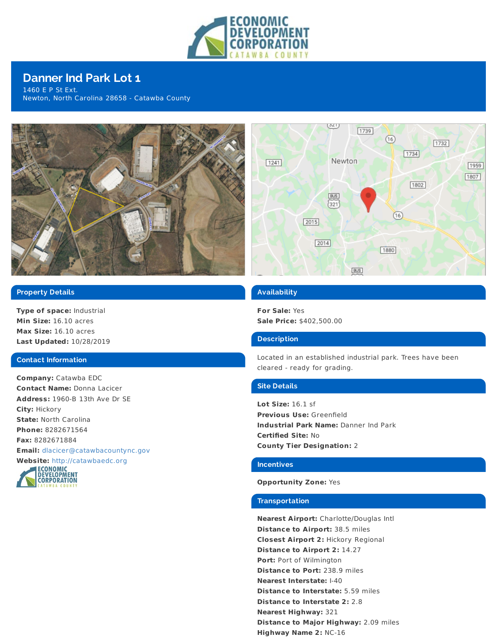

# **Danner Ind Park Lot 1**

1460 E P St Ext. Newton, North Carolina 28658 - Catawba County





## **Property Details**

**Type of space:** Industrial **Min Size:** 16.10 acres **Max Size:** 16.10 acres **Last Updated:** 10/28/2019

#### **Contact Information**

**Company:** Catawba EDC **Contact Name:** Donna Lacicer **Address:** 1960-B 13th Ave Dr SE **City:** Hickory **State:** North Carolina **Phone:** 8282671564 **Fax:** 8282671884 **Email:** [dlacicer@catawbacountync.gov](mailto:dlacicer@catawbacountync.gov)



### **Availability**

**For Sale:** Yes **Sale Price:** \$402,500.00

#### **Description**

Located in an established industrial park. Trees have been cleared - ready for grading.

## **Site Details**

**Lot Size:** 16.1 sf **Previous Use:** Greenfield **Industrial Park Name:** Danner Ind Park **Certified Site:** No **County Tier Designation:** 2

## **Incentives**

#### **Opportunity Zone:** Yes

#### **Transportation**

**Nearest Airport:** Charlotte/Douglas Intl **Distance to Airport:** 38.5 miles **Closest Airport 2:** Hickory Regional **Distance to Airport 2:** 14.27 **Port:** Port of Wilmington **Distance to Port:** 238.9 miles **Nearest Interstate:** I-40 **Distance to Interstate:** 5.59 miles **Distance to Interstate 2:** 2.8 **Nearest Highway:** 321 **Distance to Major Highway:** 2.09 miles **Highway Name 2:** NC-16